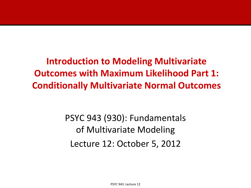**Introduction to Modeling Multivariate Outcomes with Maximum Likelihood Part 1: Conditionally Multivariate Normal Outcomes**

> PSYC 943 (930): Fundamentals of Multivariate Modeling Lecture 12: October 5, 2012

> > PSYC 943: Lecture 12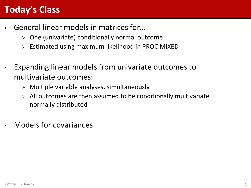### **Today's Class**

- General linear models in matrices for…
	- $\triangleright$  One (univariate) conditionally normal outcome
	- Estimated using maximum likelihood in PROC MIXED
- Expanding linear models from univariate outcomes to multivariate outcomes:
	- $\triangleright$  Multiple variable analyses, simultaneously
	- $\triangleright$  All outcomes are then assumed to be conditionally multivariate normally distributed
- Models for covariances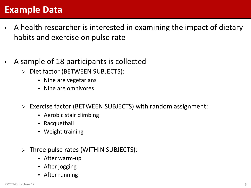### **Example Data**

- A health researcher is interested in examining the impact of dietary habits and exercise on pulse rate
- A sample of 18 participants is collected
	- Diet factor (BETWEEN SUBJECTS):
		- Nine are vegetarians
		- $\bullet$  Nine are omnivores
	- Exercise factor (BETWEEN SUBJECTS) with random assignment:
		- Aerobic stair climbing
		- Racquetball
		- Weight training
	- $\triangleright$  Three pulse rates (WITHIN SUBJECTS):
		- After warm-up
		- After jogging
		- After running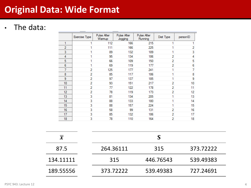### **Original Data: Wide Format**

### • The data:

|                | Exercise Type | Pulse After<br>Warmup | Pulse After<br>Jogging | Pulse After<br>Running | Diet Type               | personID |
|----------------|---------------|-----------------------|------------------------|------------------------|-------------------------|----------|
| 1              |               | 112                   | 166                    | 215                    | 1                       |          |
| $\overline{2}$ |               | 111                   | 166                    | 225                    |                         | 2        |
| 3              |               | 89                    | 132                    | 189                    |                         | 3        |
| 4              |               | 95                    | 134                    | 186                    | 2                       | 4        |
| 5              |               | 66                    | 109                    | 150                    | 2                       | 5        |
| 6              |               | 69                    | 119                    | 177                    | 2                       | 6        |
| 7              | 2             | 125                   | 177                    | 241                    |                         | 7        |
| 8              | 2             | 85                    | 117                    | 186                    |                         | 8        |
| 9              | 2             | 97                    | 137                    | 185                    |                         | 9        |
| 10             | 2             | 93                    | 151                    | 217                    | $\overline{\mathbf{c}}$ | 10       |
| 11             | 2             | 77                    | 122                    | 178                    | 2                       | 11       |
| 12             | 2             | 78                    | 119                    | 173                    | 2                       | 12       |
| 13             | 3             | 81                    | 134                    | 205                    |                         | 13       |
| 14             | 3             | 88                    | 133                    | 180                    |                         | 14       |
| 15             | 3             | 88                    | 157                    | 224                    |                         | 15       |
| 16             | 3             | 58                    | 99                     | 131                    | 2                       | 16       |
| 17             | 3             | 85                    | 132                    | 186                    | 2                       | 17       |
| 18             | 3             | 78                    | 110                    | 164                    | 2                       | 18       |

| $\overline{\bm{x}}$ |           |           |           |
|---------------------|-----------|-----------|-----------|
| 87.5                | 264.36111 | 315       | 373.72222 |
| 134.11111           | 315       | 446.76543 | 539.49383 |
| 189.55556           | 373.72222 | 539.49383 | 727.24691 |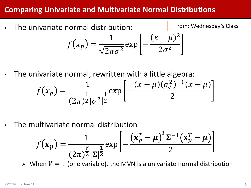### **Comparing Univariate and Multivariate Normal Distributions**

• The univariate normal distribution:

 $f(x_p) =$ 1  $\overline{2\pi\sigma^2}$  $\exp$  |  $(x - \mu)^2$  $2\sigma^2$ 

• The univariate normal, rewritten with a little algebra:

$$
f(x_p) = \frac{1}{(2\pi)^{\frac{1}{2}}|\sigma^2|^{\frac{1}{2}}} \exp\left[-\frac{(x-\mu)(\sigma_e^2)^{-1}(x-\mu)}{2}\right]
$$

• The multivariate normal distribution

$$
f(\mathbf{x}_p) = \frac{1}{(2\pi)^{\frac{V}{2}} |\mathbf{\Sigma}|^{\frac{1}{2}}} \exp\left[-\frac{(\mathbf{x}_p^T - \boldsymbol{\mu})^T \mathbf{\Sigma}^{-1} (\mathbf{x}_p^T - \boldsymbol{\mu})}{2}\right]
$$

 $\triangleright$  When  $V = 1$  (one variable), the MVN is a univariate normal distribution

From: Wednesday's Class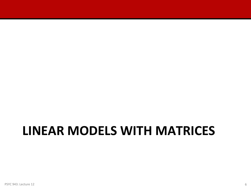## **LINEAR MODELS WITH MATRICES**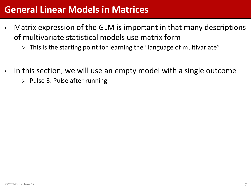### **General Linear Models in Matrices**

- Matrix expression of the GLM is important in that many descriptions of multivariate statistical models use matrix form
	- $\triangleright$  This is the starting point for learning the "language of multivariate"
- In this section, we will use an empty model with a single outcome
	- $\triangleright$  Pulse 3: Pulse after running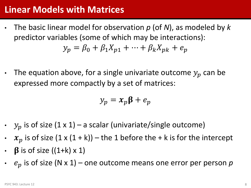### **Linear Models with Matrices**

- The basic linear model for observation *p* (of *N*), as modeled by *k* predictor variables (some of which may be interactions):  $y_p = \beta_0 + \beta_1 X_{p1} + \cdots + \beta_k X_{pk} + e_p$
- The equation above, for a single univariate outcome  $y_p$  can be expressed more compactly by a set of matrices:

$$
y_p = x_p \beta + e_p
$$

- $y_p$  is of size (1 x 1) a scalar (univariate/single outcome)
- $x_p$  is of size  $(1 \times (1 + k))$  the 1 before the + k is for the intercept
- $\beta$  is of size ((1+k) x 1)
- $\cdot$   $e_p$  is of size (N x 1) one outcome means one error per person p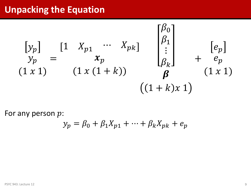### **Unpacking the Equation**

$$
\begin{bmatrix} y_p \ y_p \end{bmatrix} = \begin{bmatrix} 1 & X_{p1} & \cdots & X_{pk} \end{bmatrix} \begin{bmatrix} \beta_0 \\ \beta_1 \\ \vdots \\ \beta_k \end{bmatrix} + \begin{bmatrix} e_p \\ e_p \\ e_p \\ \beta_k \end{bmatrix}
$$
  
(1 x 1) (1 x (1 + k)) (1 x 1)  
((1 + k)x 1)

For any person  $p$ :

$$
y_p = \beta_0 + \beta_1 X_{p1} + \dots + \beta_k X_{pk} + e_p
$$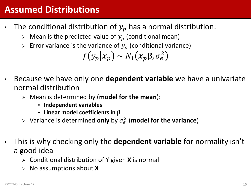### **Assumed Distributions**

- The conditional distribution of  $y_p$  has a normal distribution:
	- $\triangleright$  Mean is the predicted value of  $y_p$  (conditional mean)
	- Firror variance is the variance of  $y_p$  (conditional variance)

$$
f(y_p | x_p) \sim N_1(x_p \beta, \sigma_e^2)
$$

- Because we have only one **dependent variable** we have a univariate normal distribution
	- Mean is determined by (**model for the mean**):
		- **Independent variables**
		- $\cdot$  Linear model coefficients in  $\beta$
	- $\triangleright$  Variance is determined only by  $\sigma_e^2$  (model for the variance)
- This is why checking only the **dependent variable** for normality isn't a good idea
	- Conditional distribution of Y given **X** is normal
	- No assumptions about **X**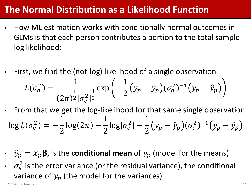### **The Normal Distribution as a Likelihood Function**

- How ML estimation works with conditionally normal outcomes in GLMs is that each person contributes a portion to the total sample log likelihood:
- First, we find the (not-log) likelihood of a single observation

$$
L(\sigma_e^2) = \frac{1}{(2\pi)^{\frac{1}{2}} |\sigma_e^2|^{\frac{1}{2}}} \exp\left(-\frac{1}{2}(y_p - \hat{y}_p)(\sigma_e^2)^{-1}(y_p - \hat{y}_p)\right)
$$

- From that we get the log-likelihood for that same single observation  $\log L(\sigma_e^2) = -$ 1 2  $\log(2\pi)$  – 1 2  $log|\sigma_e^2|$  – 1 2  $(y_p - \hat{y}_p)(\sigma_e^2)^{-1}(y_p - \hat{y}_p)$
- $\hat{y}_p = x_p \beta$ , is the **conditional mean** of  $y_p$  (model for the means)
- $\cdot \quad \sigma_e^2$  is the error variance (or the residual variance), the conditional variance of  $y_p$  (the model for the variances)

PSYC 943: Lecture 12 **11**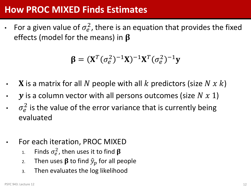### **How PROC MIXED Finds Estimates**

• For a given value of  $\sigma_e^2$ , there is an equation that provides the fixed effects (model for the means) in  $\beta$ 

$$
\boldsymbol{\beta} = (\mathbf{X}^T (\sigma_e^2)^{-1} \mathbf{X})^{-1} \mathbf{X}^T (\sigma_e^2)^{-1} \mathbf{y}
$$

- **X** is a matrix for all N people with all k predictors (size  $N x k$ )
- $\mathbf y$  is a column vector with all persons outcomes (size  $N \times 1$ )
- $\cdot$   $\sigma_e^2$  is the value of the error variance that is currently being evaluated
- For each iteration, PROC MIXED
	- 1. Finds  $\sigma_e^2$ , then uses it to find  $\boldsymbol{\beta}$
	- 2. Then uses  $\beta$  to find  $\hat{y}_p$  for all people
	- 3. Then evaluates the log likelihood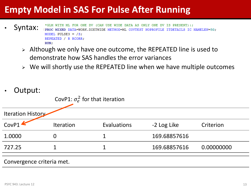### **Empty Model in SAS For Pulse After Running**

- \*GLM WITH ML FOR ONE DV (CAN USE WIDE DATA AS ONLY ONE DV IS PRESENT):; Syntax: | PROC MIXED DATA=WORK.DIETWIDE METHOD=ML COVTEST NOPROFILE ITDETAILS IC NAMELEN=50; MODEL PULSE3 =  $/S$ : REPEATED / R RCORR: RUN:
	- > Although we only have one outcome, the REPEATED line is used to demonstrate how SAS handles the error variances
	- $\triangleright$  We will shortly use the REPEATED line when we have multiple outcomes
- Output:

| CovP1: $\sigma_e^2$ for that iteration |  |  |  |
|----------------------------------------|--|--|--|
|                                        |  |  |  |

| Iteration History |                  |             |              |            |
|-------------------|------------------|-------------|--------------|------------|
| CovP1             | <b>Iteration</b> | Evaluations | -2 Log Like  | Criterion  |
| 1.0000            |                  |             | 169.68857616 |            |
| 727.25            |                  |             | 169.68857616 | 0.00000000 |
|                   |                  |             |              |            |

#### Convergence criteria met.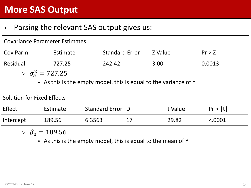### **More SAS Output**

### • Parsing the relevant SAS output gives us:

| <b>Covariance Parameter Estimates</b>                            |                             |                       |         |        |  |  |  |  |  |
|------------------------------------------------------------------|-----------------------------|-----------------------|---------|--------|--|--|--|--|--|
| Cov Parm                                                         | Estimate                    | <b>Standard Error</b> | Z Value | Pr > Z |  |  |  |  |  |
| Residual                                                         | 727.25                      | 242.42                | 3.00    | 0.0013 |  |  |  |  |  |
|                                                                  | $\sigma_{\rm e}^2 = 727.25$ |                       |         |        |  |  |  |  |  |
| • As this is the empty model, this is equal to the variance of Y |                             |                       |         |        |  |  |  |  |  |
| Solution for Fixed Effects                                       |                             |                       |         |        |  |  |  |  |  |

| Effect    | Estimate | Standard Error DF | t Value | Pr >  t  |
|-----------|----------|-------------------|---------|----------|
| Intercept | 189.56   | 6.3563            | 29.82   | < 0.0001 |

 $\delta \beta_0 = 189.56$ 

As this is the empty model, this is equal to the mean of Y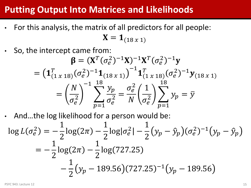### **Putting Output Into Matrices and Likelihoods**

- For this analysis, the matrix of all predictors for all people:  $X = 1_{(18 x 1)}$ 
	- So, the intercept came from:

$$
\beta = (X^T (\sigma_e^2)^{-1} X)^{-1} X^T (\sigma_e^2)^{-1} y
$$
  
= 
$$
\left( \mathbf{1}_{(1 \times 18)}^T (\sigma_e^2)^{-1} \mathbf{1}_{(18 \times 1)}^T \right)^{-1} \mathbf{1}_{(1 \times 18)}^T (\sigma_e^2)^{-1} y_{(18 \times 1)}
$$
  
= 
$$
\left( \frac{N}{\sigma_e^2} \right)^{-1} \sum_{p=1}^{18} \frac{y_p}{\sigma_e^2} = \frac{\sigma_e^2}{N} \left( \frac{1}{\sigma_e^2} \right) \sum_{p=1}^{18} y_p = \bar{y}
$$

• And…the log likelihood for a person would be:

$$
\log L(\sigma_e^2) = -\frac{1}{2}\log(2\pi) - \frac{1}{2}\log|\sigma_e^2| - \frac{1}{2}(y_p - \hat{y}_p)(\sigma_e^2)^{-1}(y_p - \hat{y}_p)
$$
  
= 
$$
-\frac{1}{2}\log(2\pi) - \frac{1}{2}\log(727.25)
$$
  

$$
-\frac{1}{2}(y_p - 189.56)(727.25)^{-1}(y_p - 189.56)
$$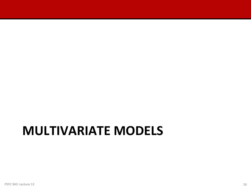## **MULTIVARIATE MODELS**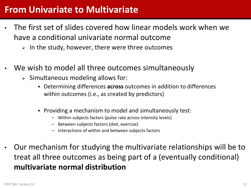### **From Univariate to Multivariate**

- The first set of slides covered how linear models work when we have a conditional univariate normal outcome
	- $\triangleright$  In the study, however, there were three outcomes
- We wish to model all three outcomes simultaneously
	- $\triangleright$  Simultaneous modeling allows for:
		- Determining differences **across** outcomes in addition to differences within outcomes (i.e., as created by predictors)
		- Providing a mechanism to model and simultaneously test:
			- Within subjects factors (pulse rate across intensity levels)
			- Between subjects factors (diet, exercise)
			- Interactions of within and between subjects factors
- Our mechanism for studying the multivariate relationships will be to treat all three outcomes as being part of a (eventually conditional) **multivariate normal distribution**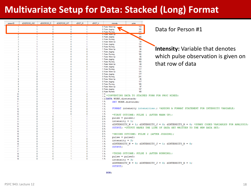### **Multivariate Setup for Data: Stacked (Long) Format**

| personID                           | dEXERCISE ASC       | dEXERCISE_R              | dEXERCISE_WT                 | dDIET_M                                                      | dDIET_V | intensity                                   |                    | pulse      |                                                                                                                                                                       |
|------------------------------------|---------------------|--------------------------|------------------------------|--------------------------------------------------------------|---------|---------------------------------------------|--------------------|------------|-----------------------------------------------------------------------------------------------------------------------------------------------------------------------|
|                                    |                     | 0                        |                              | 0                                                            |         | 0 Pulse: Warm Up                            |                    | $112$      |                                                                                                                                                                       |
|                                    |                     |                          | $\mathbf{0}$                 | $\mathbf{0}$                                                 |         | 0 Pulse: Jogging                            |                    | 166        | Data for Person #1                                                                                                                                                    |
| 1                                  |                     |                          | $\mathbf 0$                  | $\mathbf{0}$                                                 |         | 0 Pulse: Running                            |                    | 215        |                                                                                                                                                                       |
| $\overline{2}$                     |                     |                          | $\mathbf{0}$                 | $\mathbf{0}$                                                 |         | <b>u Fuise, warm up</b><br>0 Pulse: Jogging |                    | ╥╥<br>166  |                                                                                                                                                                       |
| $\overline{2}$                     |                     | $\mathbf{0}$             |                              | $\mathbf{0}$                                                 |         | 0 Pulse: Running                            |                    | 22.5       |                                                                                                                                                                       |
|                                    |                     | $\mathbf{0}$             |                              | $\mathbf{0}$                                                 |         | 0 Pulse: Warm Up                            |                    | 89         |                                                                                                                                                                       |
|                                    |                     |                          | $\mathbf{0}$                 | $\mathbf{0}$                                                 |         | 0 Pulse: Jogging                            |                    | 132        |                                                                                                                                                                       |
|                                    |                     | $\mathbf{0}$             |                              | $\mathbf{0}$                                                 |         | 0 Pulse: Running                            |                    | 189        |                                                                                                                                                                       |
|                                    |                     | $\sqrt{2}$<br>$\sqrt{2}$ |                              | $\mathbf{0}$<br>$\mathbf{a}$<br>$\mathbf{0}$                 |         | 1 Pulse: Warm Up                            |                    | 95         | <b>Intensity:</b> Variable that denotes                                                                                                                               |
|                                    |                     | $\mathbf{0}$             |                              | $\mathbf{0}$<br>$\mathbf{0}$                                 |         | 1 Pulse: Jogging<br>1 Pulse: Running        |                    | 134<br>186 |                                                                                                                                                                       |
|                                    |                     |                          | $\mathbf{0}$                 | $\overline{0}$<br>$\mathbf{0}$                               |         | 1 Pulse: Warm Up                            |                    | 66         | which pulse observation is given on                                                                                                                                   |
|                                    |                     | $\Omega$                 |                              | $\mathbf{0}$<br>$\Omega$                                     |         | 1 Pulse: Jogging                            |                    | 109        |                                                                                                                                                                       |
|                                    |                     | $\Omega$                 |                              | $\Omega$<br>$\mathbf{0}$                                     |         | 1 Pulse: Running                            |                    | 150        |                                                                                                                                                                       |
|                                    |                     |                          | $\mathbf{0}$                 | $\mathbf{0}$<br>$\Omega$                                     |         | 1 Pulse: Warm Up                            |                    | 69         | that row of data                                                                                                                                                      |
| ĥ                                  |                     | $\Omega$                 | $\mathbf{0}$                 | $\mathbf{0}$<br>$\mathbf{0}$<br>$\mathbf{0}$<br>$\Omega$     |         | 1 Pulse: Jogging                            |                    | 119<br>177 |                                                                                                                                                                       |
|                                    | O                   |                          |                              | $\mathbf{0}$                                                 |         | 1 Pulse: Running<br>0 Pulse: Warm Up        |                    | 125        |                                                                                                                                                                       |
|                                    | $\mathbf{0}$        |                          |                              | $\mathbf{0}$                                                 |         | 0 Pulse: Jogging                            |                    | 177        |                                                                                                                                                                       |
| $\overline{7}$                     | $\mathbf{0}$        |                          |                              | $\mathbf{0}$                                                 |         | 0 Pulse: Running                            |                    | 241        |                                                                                                                                                                       |
|                                    | n                   |                          |                              | $\mathbf{0}$                                                 |         | 0 Pulse: Warm Up                            |                    | 85         |                                                                                                                                                                       |
|                                    | <sub>0</sub>        |                          |                              | $\mathbf{0}$                                                 |         | 0 Pulse: Jogging                            |                    | 117        |                                                                                                                                                                       |
| $\mathbf{R}$<br>9                  | <sub>0</sub><br>Ō   |                          |                              | $\mathbf{0}$<br>$\mathbf{0}$                                 |         | 0 Pulse: Running<br>0 Pulse: Warm Up        |                    | 186<br>97  |                                                                                                                                                                       |
| ٩                                  |                     |                          |                              | $\mathbf{0}$                                                 |         | 0 Pulse: Jogging                            |                    | 137        |                                                                                                                                                                       |
| 9                                  | 0                   |                          |                              | $\mathbf{0}$                                                 |         | 0 Pulse: Running                            |                    | 185        |                                                                                                                                                                       |
| 10                                 | Ō                   |                          |                              | $\mathbf{0}$                                                 |         | 1 Pu                                        |                    |            |                                                                                                                                                                       |
| 10 <sup>10</sup>                   | Ō                   |                          |                              | $\mathbf{0}$                                                 |         | 1P <sub>1</sub>                             |                    |            | *CONVERTING DATA TO STACKED FORM FOR PROC MIXED;                                                                                                                      |
| 10 <sup>10</sup>                   |                     |                          |                              | $\Omega$                                                     |         | 1 PUDATA WORK.dietstack;                    |                    |            |                                                                                                                                                                       |
| 11<br>11                           | Ō<br>$\overline{0}$ |                          |                              | $\mathbf{0}$<br>$\mathbf{0}$<br>$\mathbf{0}$<br>$\mathbf{0}$ |         | 1 Pu<br>1P <sub>l</sub>                     | SET WORK.dietwide; |            |                                                                                                                                                                       |
| 11                                 | O                   |                          |                              | $\mathbf{0}$<br>$\mathbf{0}$                                 |         | 1P <sub>l</sub>                             |                    |            |                                                                                                                                                                       |
| 12                                 | $\mathbf{0}$        |                          |                              | $\mathbf{0}$<br>$\mathbf{0}$                                 |         | 1P <sub>l</sub>                             |                    |            | FORMAT intensity intensities.; *ADDING A FORMAT STATEMENT FOR INTENSITY VARIABLE;                                                                                     |
| 12 <sup>12</sup>                   | 0                   |                          |                              | $\mathbf{0}$<br>$\mathbf{0}$                                 |         | 1P <sub>0</sub>                             |                    |            |                                                                                                                                                                       |
| 12 <sup>12</sup>                   | <sub>0</sub>        | 1                        |                              | $\mathbf{0}$<br>$\mathbf{0}$                                 |         | 1P <sub>1</sub>                             |                    |            | *FIRST OUTCOME: PULSE 1 (AFTER WARM UP);                                                                                                                              |
| 13                                 | n                   | $\mathbf{0}$<br>$\Omega$ |                              |                                                              |         | $0P_0$                                      | $pulse = pulse1;$  |            |                                                                                                                                                                       |
| 13 <sup>°</sup><br>13 <sup>°</sup> | n<br>n              | $\mathbf{0}$             |                              |                                                              |         | 0P <sub>1</sub><br>0P <sub>1</sub>          | intensity = $1$ ;  |            |                                                                                                                                                                       |
| 14                                 | Ō                   | $\Omega$                 |                              | 1.                                                           |         | 0P <sub>1</sub>                             |                    |            |                                                                                                                                                                       |
| 14                                 | Ō                   | $\Omega$                 |                              |                                                              |         | 0P <sub>t</sub>                             |                    |            | dINTENSITY_W = 1; dINTENSITY_J = 0; dINTENSITY_R = 0; *DUMMY CODED VARIABLES FOR ANALYSIS;<br>OUTPUT, *OUTPUT MAKES THE LINE OF DATA GET WRITTEN TO THE NEW DATA SET: |
| 14                                 | o                   | $\Omega$                 |                              |                                                              |         | 0P <sub>t</sub>                             |                    |            |                                                                                                                                                                       |
| 15                                 | o                   |                          | $\mathbf{0}$                 |                                                              |         | 0P <sub>1</sub>                             |                    |            |                                                                                                                                                                       |
| 15<br>15                           | $\mathbf{0}$<br>n   |                          | $\mathbf{0}$<br>$\mathbf{0}$ | 1                                                            |         | 0P <sub>0</sub>                             |                    |            | *SECOND OUTCOME: PULSE 2 (AFTER JOGGING);                                                                                                                             |
| 16 <sup>1</sup>                    | Ō                   |                          | $\mathbf{0}$                 | $\mathbf{0}$                                                 |         | 0P <sub>0</sub><br>1P <sub>0</sub>          | $pulse = pulse2;$  |            |                                                                                                                                                                       |
| 16 <sup>1</sup>                    | Ō                   |                          | $\mathbf{0}$                 | $\mathbf{0}$                                                 |         | 1P <sub>0</sub>                             | intensity = $2$ ;  |            |                                                                                                                                                                       |
| 16 <sup>1</sup>                    | $\mathbf{0}$        |                          | $\mathbf{0}$                 | $\mathbf{0}$<br>1                                            |         | 1P <sub>1</sub>                             |                    |            | dINTENSITY $W = 0$ ; dINTENSITY $J = 1$ ; dINTENSITY $R = 0$ ;                                                                                                        |
| 17                                 | <sub>0</sub>        | $\mathbf{0}$             |                              |                                                              |         | 1P <sub>1</sub><br>OUTPUT:                  |                    |            |                                                                                                                                                                       |
| 17                                 | $\mathbf{0}$        |                          | $\mathbf{0}$                 | $\mathbf{0}$                                                 |         | $1P_0$                                      |                    |            |                                                                                                                                                                       |
| 17<br>18 <sup>1</sup>              | <sup>0</sup><br>Ō   |                          | $\mathbf{0}$<br>$\mathbf{0}$ | $\sqrt{2}$<br>$\sqrt{2}$<br>$\mathbf{1}$                     |         | 1P <sub>1</sub>                             |                    |            | *THIRD OUTCOME: PULSE 3 (AFTER RUNNING);                                                                                                                              |
| 18                                 | $\Omega$            | $\overline{0}$           |                              | $\overline{0}$<br>1                                          |         | $1$ $P_1$<br>1 Pu                           |                    |            |                                                                                                                                                                       |
| 18                                 | $\Omega$            |                          | $\mathbf{0}$                 | $\Omega$<br>1.                                               |         | $1$ Pu                                      | $pulse = pulse3;$  |            |                                                                                                                                                                       |
|                                    |                     |                          |                              |                                                              |         |                                             | intensity = $3$ ;  |            |                                                                                                                                                                       |
|                                    |                     |                          |                              |                                                              |         |                                             |                    |            | dINTENSITY $W = 0$ ; dINTENSITY $J = 0$ ; dINTENSITY $R = 1$ ;                                                                                                        |
|                                    |                     |                          |                              |                                                              |         | OUTPUT;                                     |                    |            |                                                                                                                                                                       |

RUN;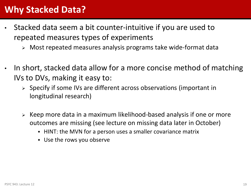### **Why Stacked Data?**

- Stacked data seem a bit counter-intuitive if you are used to repeated measures types of experiments
	- Most repeated measures analysis programs take wide-format data
- In short, stacked data allow for a more concise method of matching IVs to DVs, making it easy to:
	- $\triangleright$  Specify if some IVs are different across observations (important in longitudinal research)
	- $\triangleright$  Keep more data in a maximum likelihood-based analysis if one or more outcomes are missing (see lecture on missing data later in October)
		- HINT: the MVN for a person uses a smaller covariance matrix
		- Use the rows you observe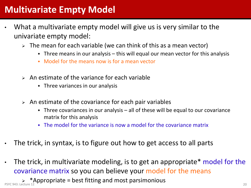### **Multivariate Empty Model**

- What a multivariate empty model will give us is very similar to the univariate empty model:
	- $\triangleright$  The mean for each variable (we can think of this as a mean vector)
		- Three means in our analysis this will equal our mean vector for this analysis
		- Model for the means now is for a mean vector
	- $\triangleright$  An estimate of the variance for each variable
		- Three variances in our analysis
	- $\triangleright$  An estimate of the covariance for each pair variables
		- Three covariances in our analysis all of these will be equal to our covariance matrix for this analysis
		- The model for the variance is now a model for the covariance matrix
- The trick, in syntax, is to figure out how to get access to all parts
- The trick, in multivariate modeling, is to get an appropriate\* model for the covariance matrix so you can believe your model for the means

 $\rightarrow$  \*Appropriate = best fitting and most parsimonious<br>PSYC 943: Lecture 12<br>20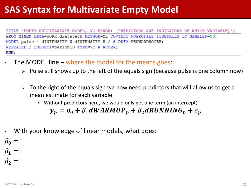### **SAS Syntax for Multivariate Empty Model**

TITLE "EMPTY MULTIVARIATE MODEL, VC ERROR: (PREDICTORS ARE INDICATORS OF WHICH VARIABLE)"; PROC MIXED DATA=WORK.dietstack METHOD=ML COVTEST NOPROFILE ITDETAILS IC NAMELEN=50; MODEL pulse = dINTENSITY W dINTENSITY R / S DDFM=KENWARDROGER; REPEATED / SUBJECT=personID TYPE=VC R RCORR; RUN;

- The MODEL line where the model for the means goes:
	- $\triangleright$  Pulse still shows up to the left of the equals sign (because pulse is one column now)
	- $\triangleright$  To the right of the equals sign we now need predictors that will allow us to get a mean estimate for each variable
		- Without predictors here, we would only get one term (an intercept)

$$
\mathbf{y}_p = \beta_0 + \beta_1 dWARMUP_p + \beta_2 dRUNNING_p + e_p
$$

With your knowledge of linear models, what does:

 $\beta_0 = ?$  $\beta_1 = ?$ 

 $\beta_2 = ?$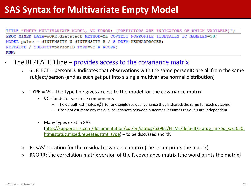### **SAS Syntax for Multivariate Empty Model**

TITLE "EMPTY MULTIVARIATE MODEL, VC ERROR: (PREDICTORS ARE INDICATORS OF WHICH VARIABLE)"; PROC MIXED DATA=WORK.dietstack METHOD=ML COVTEST NOPROFILE ITDETAILS IC NAMELEN=50; MODEL pulse = dINTENSITY W dINTENSITY R / S DDFM=KENWARDROGER; REPEATED / SUBJECT=personID TYPE=VC R RCORR; RUN;

- The REPEATED line  $-$  provides access to the covariance matrix
	- $\triangleright$  SUBJECT = personID: Indicates that observations with the same personID are all from the same subject/person (and as such get put into a single multivariate normal distribution)
	- $\triangleright$  TYPE = VC: The type line gives access to the model for the covariance matrix
		- VC stands for variance components
			- $-$  The default, estimates  $\sigma_e^2$ **I** (or one single residual variance that is shared/the same for each outcome)
			- Does not estimate any residual covariances between outcomes: assumes residuals are independent
		- Many types exist in SAS ([http://support.sas.com/documentation/cdl/en/statug/63962/HTML/default/statug\\_mixed\\_sect020.](http://support.sas.com/documentation/cdl/en/statug/63962/HTML/default/statug_mixed_sect020.htm) [htm#statug.mixed.repeatedstmt\\_type](http://support.sas.com/documentation/cdl/en/statug/63962/HTML/default/statug_mixed_sect020.htm)) – to be discussed shortly
	- $\triangleright$  R: SAS' notation for the residual covariance matrix (the letter prints the matrix)
	- RCORR: the correlation matrix version of the R covariance matrix (the word prints the matrix)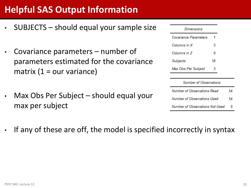## **Helpful SAS Output Information**

- SUBJECTS should equal your sample size
- Covariance parameters  $-$  number of parameters estimated for the covariance matrix (1 = our variance)
- Max Obs Per Subject should equal your max per subject

### **Dimensions**

| Covariance Parameters |    |  |
|-----------------------|----|--|
| Columns in X          | 3  |  |
| Columns in Z          | 0  |  |
| Subjects              | 18 |  |
| Max Obs Per Subject   | 3  |  |

#### **Number of Observations**

| Number of Observations Read     | 54       |
|---------------------------------|----------|
| Number of Observations Used     | 54       |
| Number of Observations Not Used | $\Omega$ |

If any of these are off, the model is specified incorrectly in syntax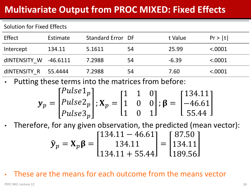### **Multivariate Output from PROC MIXED: Fixed Effects**

### Solution for Fixed Effects

| Effect                | Estimate | Standard Error DF |    | t Value | Pr >  t |
|-----------------------|----------|-------------------|----|---------|---------|
| Intercept             | 134.11   | 5.1611            | 54 | 25.99   | < .0001 |
| dINTENSITY W -46.6111 |          | 7.2988            | 54 | $-6.39$ | < .0001 |
| dINTENSITY R 55.4444  |          | 7.2988            | 54 | 7.60    | < .0001 |

• Putting these terms into the matrices from before:

$$
\mathbf{y}_p = \begin{bmatrix} Pulse1_p \\ Pulse2_p \\ Pulse3_p \end{bmatrix}; \mathbf{X}_p = \begin{bmatrix} 1 & 1 & 0 \\ 1 & 0 & 0 \\ 1 & 0 & 1 \end{bmatrix}; \mathbf{\beta} = \begin{bmatrix} 134.11 \\ -46.61 \\ 55.44 \end{bmatrix}
$$

• Therefore, for any given observation, the predicted (mean vector):

$$
\widehat{\mathbf{y}}_p = \mathbf{X}_p \mathbf{\beta} = \begin{bmatrix} 134.11 - 46.61 \\ 134.11 \\ 134.11 + 55.44 \end{bmatrix} = \begin{bmatrix} 87.50 \\ 134.11 \\ 189.56 \end{bmatrix}
$$

• These are the means for each outcome from the means vector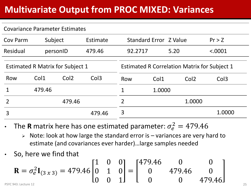### **Multivariate Output from PROC MIXED: Variances**

#### Covariance Parameter Estimates

| Cov Parm                                |          | Subject<br>Estimate |                                                     | Standard Error Z Value |        |  |                  | Pr > Z           |
|-----------------------------------------|----------|---------------------|-----------------------------------------------------|------------------------|--------|--|------------------|------------------|
| Residual                                | personID |                     | 479.46                                              | 92.2717                | 5.20   |  |                  | < .0001          |
| <b>Estimated R Matrix for Subject 1</b> |          |                     | <b>Estimated R Correlation Matrix for Subject 1</b> |                        |        |  |                  |                  |
| Row                                     | Col1     | Col <sub>2</sub>    | Col <sub>3</sub>                                    | Row                    | Col1   |  | Col <sub>2</sub> | Col <sub>3</sub> |
|                                         | 479.46   |                     |                                                     |                        | 1.0000 |  |                  |                  |
|                                         |          | 479.46              |                                                     |                        |        |  | 1.0000           |                  |
| 3                                       |          |                     | 479.46                                              | 3                      |        |  |                  | 1.0000           |

- The **R** matrix here has one estimated parameter:  $\sigma_e^2 = 479.46$ 
	- $\triangleright$  Note: look at how large the standard error is variances are very hard to estimate (and covariances ever harder)…large samples needed
- So, here we find that

$$
\mathbf{R} = \sigma_e^2 \mathbf{I}_{(3 \times 3)} = 479.46 \begin{bmatrix} 1 & 0 & 0 \\ 0 & 1 & 0 \\ 0 & 0 & 1 \end{bmatrix} = \begin{bmatrix} 479.46 & 0 & 0 \\ 0 & 479.46 & 0 \\ 0 & 0 & 479.46 \end{bmatrix}
$$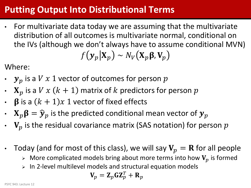### **Putting Output Into Distributional Terms**

• For multivariate data today we are assuming that the multivariate distribution of all outcomes is multivariate normal, conditional on the IVs (although we don't always have to assume conditional MVN)  $f(\mathbf{y}_n|\mathbf{X}_n) \sim N_V(\mathbf{X}_p|\mathbf{X}_p)$ 

Where:

- $y_p$  is a  $V x 1$  vector of outcomes for person  $p$
- $\mathbf{X}_p$  is a  $V x (k + 1)$  matrix of  $k$  predictors for person  $p$
- $\beta$  is a  $(k + 1)x$  1 vector of fixed effects
- $\boldsymbol{\cdot} \quad \mathbf{X}_p \boldsymbol{\beta} = \widehat{\boldsymbol{\mathcal{Y}}}_p$  is the predicted conditional mean vector of  $\boldsymbol{\mathcal{Y}}_p$
- $V_p$  is the residual covariance matrix (SAS notation) for person  $p$
- Today (and for most of this class), we will say  $V_p = R$  for all people
	- $\triangleright$  More complicated models bring about more terms into how  $V_p$  is formed
	- $>$  In 2-level multilevel models and structural equation models

$$
\mathbf{V}_p = \mathbf{Z}_p \mathbf{G} \mathbf{Z}_p^T + \mathbf{R}_p
$$

PSYC 943: Lecture 12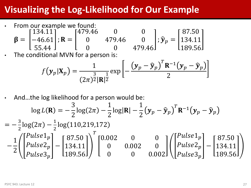### **Visualizing the Log-Likelihood for Our Example**

• From our example we found:  $\beta =$ 134.11 −46.61 55.44 ;  $R =$ 479.46 0 0 0 479.46 0 0 0 479.46 ;  $\widehat{\mathbf{y}}_p =$ 87.50 134.11 189.56

The conditional MVN for a person is:

$$
f(\mathbf{y}_p|\mathbf{X}_p) = \frac{1}{(2\pi)^{\frac{3}{2}}|\mathbf{R}|^{\frac{1}{2}}} \exp\left[-\frac{(\mathbf{y}_p - \widehat{\mathbf{y}}_p)^T \mathbf{R}^{-1}(\mathbf{y}_p - \widehat{\mathbf{y}}_p)}{2}\right]
$$

• And…the log likelihood for a person would be:  $\log L(R) = -$ 3 2  $\log(2\pi)$  – 1 2  $log$  $|R|$  – 1 2  $\mathbf{y}_p-\widehat{\mathbf{y}}_p$  $\overline{T}$  $\mathbf{R}^{-1} (\mathbf{y}_p - \widehat{\mathbf{y}}_p)$  $=-\frac{3}{3}$ 2  $\log(2\pi) - \frac{1}{2}$ 2 log (110, 219, 172 − 1 2  $Pulse1_p$  $Pulse2_p$  $Pulse3_p$ − 87.50 134.11 189.56  $\overline{T}$ 0.002 0 0 0 0.002 0 0 0 0.002  $Pulse1_p$  $Pulse2_p$  $Pulse3_p$ − 87.50 134.11 189.56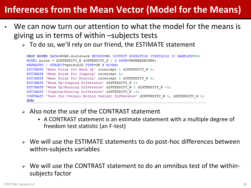### **Inferences from the Mean Vector (Model for the Means)**

- We can now turn our attention to what the model for the means is giving us in terms of within –subjects tests
	- > To do so, we'll rely on our friend, the ESTIMATE statement

```
PROC MIXED DATA=WORK.dietstack METHOD=ML COVTEST NOPROFILE ITDETAILS IC NAMELEN=50:
MODEL pulse = dINTENSITY W dINTENSITY R / S DDFM=KENWARDROGER;
REPEATED / SUBJECT=personID TYPE=UN R RCORR;
ESTIMATE 'Mean Pulse for Warm Up' intercept 1 dINTENSITY W 1;
ESTIMATE 'Mean Pulse for Jogging' intercept 1;
ESTIMATE 'Mean Pulse for Running' intercept 1 dINTENSITY R 1;
ESTIMATE 'Warm Up/Jogging Difference' dINTENSITY W 1;
ESTIMATE 'Warm Up/Running Difference' dINTENSITY W 1 dINTENSITY R -1;
ESTIMATE 'Jogging/Running Difference' dINTENSITY R -1;
CONTRAST 'Test for Overall Within Subject Difference' dINTENSITY W 1, dINTENSITY R 1;
RUN:
```
- $\triangleright$  Also note the use of the CONTRAST statement
	- A CONTRAST statement is an estimate statement with a multiple degree of freedom test statistic (an F-test)
- $\triangleright$  We will use the ESTIMATE statements to do post-hoc differences between within-subjects variables
- $\triangleright$  We will use the CONTRAST statement to do an omnibus test of the withinsubjects factor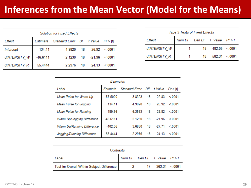### **Inferences from the Mean Vector (Model for the Means)**

| <b>Solution for Fixed Effects</b> |            |                                   |    |         |        |  |  |  |  |  |
|-----------------------------------|------------|-----------------------------------|----|---------|--------|--|--|--|--|--|
| Effect                            | Estimate   | Standard Error DF t Value Pr >  t |    |         |        |  |  |  |  |  |
| Intercept                         | 134.11     | 4.9820                            | 18 | 26.92   | < 0001 |  |  |  |  |  |
| dlNTENSITY_W                      | $-46.6111$ | 2.1230                            | 18 | --21.96 | < 0001 |  |  |  |  |  |
| dINTENSITY R                      | 55 4444    | 2.2976                            | 18 | 24.13   | < 0001 |  |  |  |  |  |

| Type 3 Tests of Fixed Effects |                              |    |                    |  |  |  |
|-------------------------------|------------------------------|----|--------------------|--|--|--|
| Effect                        | Num DF Den DF F Value Pr > F |    |                    |  |  |  |
| dlNTENSITY_W                  |                              | 18 | 482.05 <.0001      |  |  |  |
| dINTENSITY R                  |                              |    | 18  582.31  <.0001 |  |  |  |

| Estimates                         |            |                           |    |          |         |
|-----------------------------------|------------|---------------------------|----|----------|---------|
| Label                             | Estimate   | Standard Error DF t Value |    |          | Pr >  t |
| Mean Pulse for Warm Up            | 87.5000    | 3.8323                    | 18 | 22.83    | < 0001  |
| Mean Pulse for Jogging            | 134.11     | 4.9820                    | 18 | 26.92    | < 0001  |
| Mean Pulse for Running            | 189.56     | 6 3563                    | 18 | 29.82    | < 0001  |
| Warm Up/Jogging Difference        | $-46.6111$ | 2 1230                    | 18 | $-21.96$ | < 0001  |
| <b>Warm Up/Running Difference</b> | $-102.06$  | 36830                     | 18 | -27 71   | < 0001  |
| Jogging/Running Difference        | $-55.4444$ | 2 2 9 7 6                 | 18 | $-24.13$ | < 0001  |

| Contrasts                                  |                                  |  |                  |  |
|--------------------------------------------|----------------------------------|--|------------------|--|
| Label                                      | Num DF Den DF $F$ Value $Pr > F$ |  |                  |  |
| Test for Overall Within Subject Difference | $\overline{\mathbf{2}}$          |  | 17 363.31 <.0001 |  |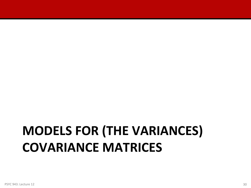# **MODELS FOR (THE VARIANCES) COVARIANCE MATRICES**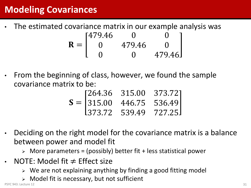### **Modeling Covariances**

- The estimated covariance matrix in our example analysis was  $R =$ 479.46 0 0 0 479.46 0 0 0 479.46
- From the beginning of class, however, we found the sample covariance matrix to be:

|  | $[264.36 \quad 315.00 \quad 373.72]$ |  |
|--|--------------------------------------|--|
|  | $S =  315.00 \t 446.75 \t 536.49 $   |  |
|  | $1373.72$ 539.49 727.25              |  |

- Deciding on the right model for the covariance matrix is a balance between power and model fit
	- $\triangleright$  More parameters = (possibly) better fit + less statistical power
- NOTE: Model fit  $\neq$  Effect size
	- $\triangleright$  We are not explaining anything by finding a good fitting model
	- Model fit is necessary, but not sufficient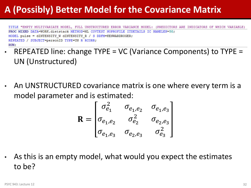### **A (Possibly) Better Model for the Covariance Matrix**

TITLE "EMPTY MULTIVARIATE MODEL, FULL UNSTRUCTURED ERROR VARIANCE MODEL: (PREDICTORS ARE INDICATORS OF WHICH VARIABLE) PROC MIXED DATA=WORK.dietstack METHOD=ML COVTEST NOPROFILE ITDETAILS IC NAMELEN=50: MODEL pulse = dINTENSITY W dINTENSITY R / S DDFM=KENWARDROGER; REPEATED / SUBJECT=personID TYPE=UN R RCORR: RUN:

- REPEATED line: change TYPE = VC (Variance Components) to TYPE = UN (Unstructured)
- An UNSTRUCTURED covariance matrix is one where every term is a model parameter and is estimated:

$$
\mathbf{R} = \begin{bmatrix} \sigma_{e_1}^2 & \sigma_{e_1, e_2} & \sigma_{e_1, e_3} \\ \sigma_{e_1, e_2} & \sigma_{e_2}^2 & \sigma_{e_2, e_3} \\ \sigma_{e_1, e_3} & \sigma_{e_2, e_3} & \sigma_{e_3}^2 \end{bmatrix}
$$

As this is an empty model, what would you expect the estimates to be?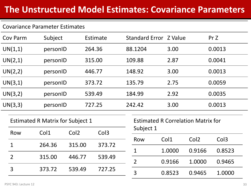### **The Unstructured Model Estimates: Covariance Parameters**

#### Covariance Parameter Estimates

| Subject<br>Cov Parm                     |         |                  | Estimate         |                  | Standard Error Z Value                    |        |           |        | Pr Z                          |                  |  |
|-----------------------------------------|---------|------------------|------------------|------------------|-------------------------------------------|--------|-----------|--------|-------------------------------|------------------|--|
| UN(1,1)<br>personID                     |         |                  | 264.36           |                  | 88.1204                                   |        | 3.00      |        | 0.0013                        |                  |  |
|                                         | UN(2,1) | personID         |                  | 315.00           |                                           | 109.88 |           | 2.87   |                               | 0.0041           |  |
|                                         | UN(2,2) | personID         |                  | 446.77           |                                           | 148.92 |           | 3.00   |                               | 0.0013           |  |
|                                         | UN(3,1) | personID         |                  | 373.72           |                                           | 135.79 |           | 2.75   |                               | 0.0059           |  |
| UN(3,2)                                 |         | personID         |                  | 539.49           |                                           | 184.99 |           | 2.92   |                               | 0.0035           |  |
| UN(3,3)                                 |         | personID         |                  | 727.25           |                                           |        | 242.42    | 3.00   |                               | 0.0013           |  |
| <b>Estimated R Matrix for Subject 1</b> |         |                  |                  |                  | <b>Estimated R Correlation Matrix for</b> |        |           |        |                               |                  |  |
| Row<br>1<br>$\overline{2}$<br>3         |         | Col1             | Col <sub>2</sub> | Col <sub>3</sub> |                                           |        | Subject 1 |        |                               |                  |  |
|                                         |         | 264.36           | 315.00           |                  | 373.72                                    |        | Row       | Col1   | Col <sub>2</sub>              | Col <sub>3</sub> |  |
|                                         |         | 315.00<br>446.77 | 539.49           |                  | 1                                         | 1.0000 | 0.9166    | 0.8523 |                               |                  |  |
|                                         |         |                  |                  |                  | $\overline{2}$                            | 0.9166 | 1.0000    | 0.9465 |                               |                  |  |
|                                         |         | 373.72           | 539.49           |                  | 727.25                                    |        | C         | n orna | $\bigcap$ $\bigcap$ $\bigcap$ | 1.0000           |  |

3 0.8523 0.9465 1.0000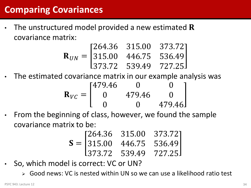### **Comparing Covariances**

The unstructured model provided a new estimated  $\bf R$ covariance matrix:

$$
\mathbf{R}_{UN} = \begin{bmatrix} 264.36 & 315.00 & 373.72 \\ 315.00 & 446.75 & 536.49 \\ 373.72 & 539.49 & 727.25 \end{bmatrix}
$$

- The estimated covariance matrix in our example analysis was  $\mathbf{R}_{VC} =$ 479.46 0 0 0 479.46 0 0 0 479.46
- From the beginning of class, however, we found the sample covariance matrix to be:

$$
\mathbf{S} = \begin{bmatrix} 264.36 & 315.00 & 373.72 \\ 315.00 & 446.75 & 536.49 \\ 373.72 & 539.49 & 727.25 \end{bmatrix}
$$

- So, which model is correct: VC or UN?
	- Good news: VC is nested within UN so we can use a likelihood ratio test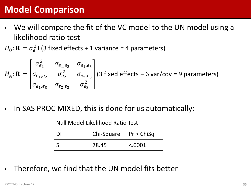### **Model Comparison**

- We will compare the fit of the VC model to the UN model using a likelihood ratio test
- $H_0$ :  $\mathbf{R} = \sigma_e^2 \mathbf{I}$  (3 fixed effects + 1 variance = 4 parameters)

$$
H_A: \mathbf{R} = \begin{bmatrix} \sigma_{e_1}^2 & \sigma_{e_1, e_2} & \sigma_{e_1, e_3} \\ \sigma_{e_1, e_2} & \sigma_{e_2}^2 & \sigma_{e_2, e_3} \\ \sigma_{e_1, e_3} & \sigma_{e_2, e_3} & \sigma_{e_3}^2 \end{bmatrix} \text{ (3 fixed effects + 6 var/cov = 9 parameters)}
$$

In SAS PROC MIXED, this is done for us automatically:

| Null Model Likelihood Ratio Test |       |         |  |  |
|----------------------------------|-------|---------|--|--|
| $Chi-Square$ Pr > ChiSq<br>-DF   |       |         |  |  |
| -5                               | 78.45 | < .0001 |  |  |

• Therefore, we find that the UN model fits better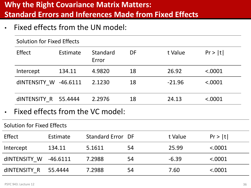### **Why the Right Covariance Matrix Matters: Standard Errors and Inferences Made from Fixed Effects**

• Fixed effects from the UN model:

|                            | <b>Solution for Fixed Effects</b> |                      |                                  |    |          |         |
|----------------------------|-----------------------------------|----------------------|----------------------------------|----|----------|---------|
|                            | <b>Effect</b>                     | Estimate             | <b>Standard</b><br>Error         | DF | t Value  | Pr >  t |
|                            | Intercept                         | 134.11               | 4.9820                           | 18 | 26.92    | < .0001 |
|                            | dINTENSITY W                      | $-46.6111$           | 2.1230                           | 18 | $-21.96$ | < .0001 |
|                            |                                   | dINTENSITY R 55.4444 | 2.2976                           | 18 | 24.13    | < .0001 |
| $\bullet$                  |                                   |                      | Fixed effects from the VC model: |    |          |         |
|                            | Solution for Fixed Effects        |                      |                                  |    |          |         |
| <b>Effect</b>              |                                   | Estimate             | <b>Standard Error DF</b>         |    | t Value  | Pr >  t |
|                            | Intercept                         | 134.11               | 5.1611                           | 54 | 25.99    | < .0001 |
| dINTENSITY W<br>$-46.6111$ |                                   |                      | 7.2988                           | 54 | $-6.39$  | < .0001 |
|                            | dINTENSITY R                      | 55.4444              | 7.2988                           | 54 | 7.60     | < .0001 |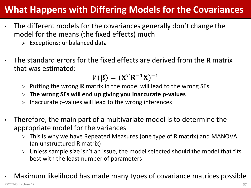### **What Happens with Differing Models for the Covariances**

- The different models for the covariances generally don't change the model for the means (the fixed effects) much
	- $\triangleright$  Exceptions: unbalanced data
- The standard errors for the fixed effects are derived from the **R** matrix that was estimated:

$$
V(\boldsymbol{\beta}) = (\mathbf{X}^T \mathbf{R}^{-1} \mathbf{X})^{-1}
$$

- $\triangleright$  Putting the wrong **R** matrix in the model will lead to the wrong SEs
- **The wrong SEs will end up giving you inaccurate p-values**
- $\triangleright$  Inaccurate p-values will lead to the wrong inferences
- Therefore, the main part of a multivariate model is to determine the appropriate model for the variances
	- $\triangleright$  This is why we have Repeated Measures (one type of R matrix) and MANOVA (an unstructured R matrix)
	- > Unless sample size isn't an issue, the model selected should the model that fits best with the least number of parameters
- Maximum likelihood has made many types of covariance matrices possible PSYC 943: Lecture 12 37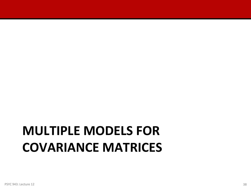## **MULTIPLE MODELS FOR COVARIANCE MATRICES**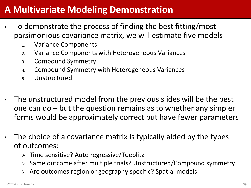### **A Multivariate Modeling Demonstration**

- To demonstrate the process of finding the best fitting/most parsimonious covariance matrix, we will estimate five models
	- 1. Variance Components
	- 2. Variance Components with Heterogeneous Variances
	- 3. Compound Symmetry
	- 4. Compound Symmetry with Heterogeneous Variances
	- 5. Unstructured
- The unstructured model from the previous slides will be the best one can do – but the question remains as to whether any simpler forms would be approximately correct but have fewer parameters
- The choice of a covariance matrix is typically aided by the types of outcomes:
	- Time sensitive? Auto regressive/Toeplitz
	- > Same outcome after multiple trials? Unstructured/Compound symmetry
	- Are outcomes region or geography specific? Spatial models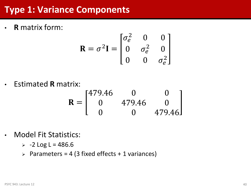### **Type 1: Variance Components**

• **R** matrix form:

$$
\mathbf{R} = \sigma^2 \mathbf{I} = \begin{bmatrix} \sigma_e^2 & 0 & 0 \\ 0 & \sigma_e^2 & 0 \\ 0 & 0 & \sigma_e^2 \end{bmatrix}
$$

• Estimated **R** matrix:

$$
\mathbf{R} = \begin{bmatrix} 479.46 & 0 & 0 \\ 0 & 479.46 & 0 \\ 0 & 0 & 479.46 \end{bmatrix}
$$

• Model Fit Statistics:

 $> -2$  Log L = 486.6

 $\geq$  Parameters = 4 (3 fixed effects + 1 variances)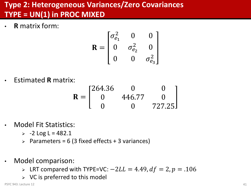### **Type 2: Heterogeneous Variances/Zero Covariances TYPE = UN(1) in PROC MIXED**

• **R** matrix form:

$$
\mathbf{R} = \begin{bmatrix} \sigma_{e_1}^2 & 0 & 0 \\ 0 & \sigma_{e_2}^2 & 0 \\ 0 & 0 & \sigma_{e_3}^2 \end{bmatrix}
$$

• Estimated **R** matrix:

$$
\mathbf{R} = \begin{bmatrix} 264.36 & 0 & 0 \\ 0 & 446.77 & 0 \\ 0 & 0 & 727.25 \end{bmatrix}
$$

- Model Fit Statistics:
	- $> -2$  Log L = 482.1
	- $\geq$  Parameters = 6 (3 fixed effects + 3 variances)
- Model comparison:
	- > LRT compared with TYPE=VC:  $-2LL = 4.49$ ,  $df = 2$ ,  $p = .106$
	- $\triangleright$  VC is preferred to this model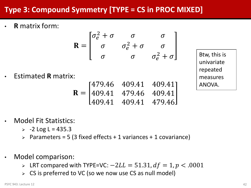### **Type 3: Compound Symmetry [TYPE = CS in PROC MIXED]**

• **R** matrix form:

$$
\mathbf{R} = \begin{bmatrix} \sigma_e^2 + \sigma & \sigma & \sigma \\ \sigma & \sigma_e^2 + \sigma & \sigma \\ \sigma & \sigma & \sigma_e^2 + \sigma \end{bmatrix}
$$

• Estimated **R** matrix:

$$
\mathbf{R} = \begin{bmatrix} 479.46 & 409.41 & 409.41 \\ 409.41 & 479.46 & 409.41 \\ 409.41 & 409.41 & 479.46 \end{bmatrix}
$$

Btw, this is univariate repeated measures ANOVA.

• Model Fit Statistics:

 $> -2$  Log L = 435.3

- $\triangleright$  Parameters = 5 (3 fixed effects + 1 variances + 1 covariance)
- Model comparison:
	- > LRT compared with TYPE=VC:  $-2LL = 51.31$ ,  $df = 1$ ,  $p < .0001$
	- $\triangleright$  CS is preferred to VC (so we now use CS as null model)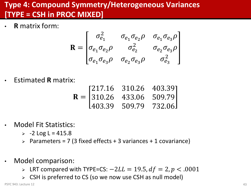### **Type 4: Compound Symmetry/Heterogeneous Variances [TYPE = CSH in PROC MIXED]**

• **R** matrix form:

$$
\mathbf{R} = \begin{bmatrix} \sigma_{e_1}^2 & \sigma_{e_1} \sigma_{e_2} \rho & \sigma_{e_1} \sigma_{e_3} \rho \\ \sigma_{e_1} \sigma_{e_2} \rho & \sigma_{e_2}^2 & \sigma_{e_2} \sigma_{e_3} \rho \\ \sigma_{e_1} \sigma_{e_3} \rho & \sigma_{e_2} \sigma_{e_3} \rho & \sigma_{e_3}^2 \end{bmatrix}
$$

• Estimated **R** matrix:

$$
\mathbf{R} = \begin{bmatrix} 217.16 & 310.26 & 403.39 \\ 310.26 & 433.06 & 509.79 \\ 403.39 & 509.79 & 732.06 \end{bmatrix}
$$

- Model Fit Statistics:
	- $> -2$  Log L = 415.8
	- $\triangleright$  Parameters = 7 (3 fixed effects + 3 variances + 1 covariance)
- Model comparison:
	- > LRT compared with TYPE=CS:  $-2LL = 19.5$ ,  $df = 2$ ,  $p < .0001$
	- $\triangleright$  CSH is preferred to CS (so we now use CSH as null model)

PSYC 943: Lecture 12 **All and Struck and Struck and Struck and Struck and Struck and Struck and Struck and Association**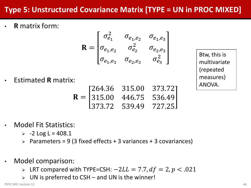### **Type 5: Unstructured Covariance Matrix [TYPE = UN in PROC MIXED]**

• **R** matrix form:

$$
\mathbf{R} = \begin{bmatrix} \sigma_{e_1}^2 & \sigma_{e_1, e_2} & \sigma_{e_1, e_3} \\ \sigma_{e_1, e_2} & \sigma_{e_2}^2 & \sigma_{e_2, e_3} \\ \sigma_{e_1, e_3} & \sigma_{e_2, e_3} & \sigma_{e_3}^2 \end{bmatrix}
$$

Btw, this is multivariate (repeated measures) ANOVA.

• Estimated **R** matrix:

$$
\mathbf{R} = \begin{bmatrix} 264.36 & 315.00 & 373.72 \\ 315.00 & 446.75 & 536.49 \\ 373.72 & 539.49 & 727.25 \end{bmatrix}
$$

- Model Fit Statistics:
	- $> -2$  Log L = 408.1
	- $\triangleright$  Parameters = 9 (3 fixed effects + 3 variances + 3 covariances)
- Model comparison:
	- > LRT compared with TYPE=CSH:  $-2LL = 7.7$ ,  $df = 2$ ,  $p < .021$
	- UN is preferred to CSH and UN is the winner!

PSYC 943: Lecture 12 44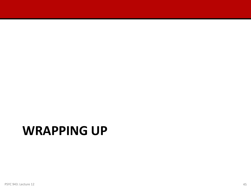## **WRAPPING UP**